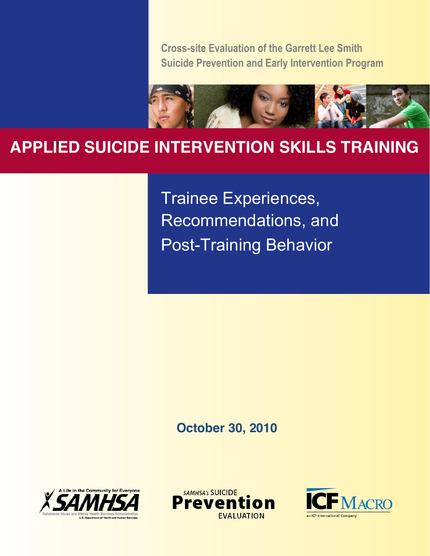**Cross-site Evaluation of the Garrett Lee Smith Suicide Prevention and Early Intervention Program**



# 11 **APPLIED SUICIDE INTERVENTION SKILLS TRAINING**

Trainee Experiences, Recommendations, and Post-Training Behavior

### **October 30, 2010**





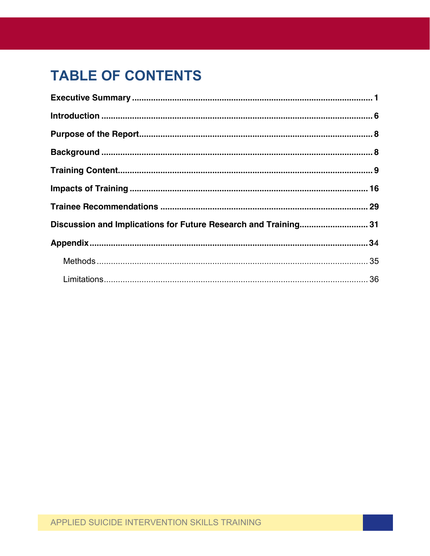# **TABLE OF CONTENTS**

| Discussion and Implications for Future Research and Training 31 |  |
|-----------------------------------------------------------------|--|
|                                                                 |  |
|                                                                 |  |
|                                                                 |  |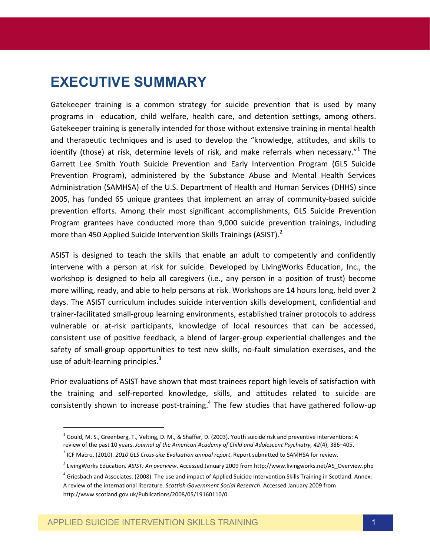## **EXECUTIVE SUMMARY**

Gatekeeper training is a common strategy for suicide prevention that is used by many programs in education, child welfare, health care, and detention settings, among others. Gatekeeper training is generally intended for those without extensive training in mental health and therapeutic techniques and is used to develop the "knowledge, attitudes, and skills to identify (those) at risk, determine levels of risk, and make referrals when necessary." $1$  The Garrett Lee Smith Youth Suicide Prevention and Early Intervention Program (GLS Suicide Prevention Program), administered by the Substance Abuse and Mental Health Services Administration (SAMHSA) of the U.S. Department of Health and Human Services (DHHS) since 2005, has funded 65 unique grantees that implement an array of community-based suicide prevention efforts. Among their most significant accomplishments, GLS Suicide Prevention Program grantees have conducted more than 9,000 suicide prevention trainings, including more than 450 Applied Suicide Intervention Skills Trainings (ASIST).<sup>2</sup>

ASIST is designed to teach the skills that enable an adult to competently and confidently intervene with a person at risk for suicide. Developed by LivingWorks Education, Inc., the workshop is designed to help all caregivers (i.e., any person in a position of trust) become more willing, ready, and able to help persons at risk. Workshops are 14 hours long, held over 2 days. The ASIST curriculum includes suicide intervention skills development, confidential and trainer-facilitated small-group learning environments, established trainer protocols to address vulnerable or at-risk participants, knowledge of local resources that can be accessed, consistent use of positive feedback, a blend of larger-group experiential challenges and the safety of small-group opportunities to test new skills, no-fault simulation exercises, and the use of adult-learning principles. $3$ 

Prior evaluations of ASIST have shown that most trainees report high levels of satisfaction with the training and self-reported knowledge, skills, and attitudes related to suicide are consistently shown to increase post-training. $4$  The few studies that have gathered follow-up

 $\overline{a}$ 

<sup>&</sup>lt;sup>1</sup> Gould, M. S., Greenberg, T., Velting, D. M., & Shaffer, D. (2003). Youth suicide risk and preventive interventions: A review of the past 10 years. *Journal of the American Academy of Child and Adolescent Psychiatry, 42*(4), 386–405.

<sup>2</sup> ICF Macro. (2010). *2010 GLS Cross-site Evaluation annual report*. Report submitted to SAMHSA for review.

<sup>3</sup> LivingWorks Education. *ASIST: An overview*. Accessed January 2009 from http://www.livingworks.net/AS\_Overview.php

 $^4$  Griesbach and Associates. (2008). The use and impact of Applied Suicide Intervention Skills Training in Scotland. Annex: A review of the international literature. *Scottish Government Social Research*. Accessed January 2009 from http://www.scotland.gov.uk/Publications/2008/05/19160110/0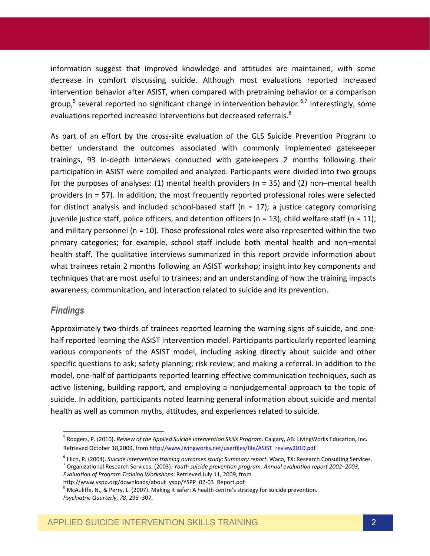information suggest that improved knowledge and attitudes are maintained, with some decrease in comfort discussing suicide. Although most evaluations reported increased intervention behavior after ASIST, when compared with pretraining behavior or a comparison group,<sup>5</sup> several reported no significant change in intervention behavior.<sup>6,7</sup> Interestingly, some evaluations reported increased interventions but decreased referrals.<sup>8</sup>

As part of an effort by the cross-site evaluation of the GLS Suicide Prevention Program to better understand the outcomes associated with commonly implemented gatekeeper trainings, 93 in-depth interviews conducted with gatekeepers 2 months following their participation in ASIST were compiled and analyzed. Participants were divided into two groups for the purposes of analyses: (1) mental health providers ( $n = 35$ ) and (2) non–mental health providers (n = 57). In addition, the most frequently reported professional roles were selected for distinct analysis and included school-based staff ( $n = 17$ ); a justice category comprising juvenile justice staff, police officers, and detention officers ( $n = 13$ ); child welfare staff ( $n = 11$ ); and military personnel ( $n = 10$ ). Those professional roles were also represented within the two primary categories; for example, school staff include both mental health and non–mental health staff. The qualitative interviews summarized in this report provide information about what trainees retain 2 months following an ASIST workshop; insight into key components and techniques that are most useful to trainees; and an understanding of how the training impacts awareness, communication, and interaction related to suicide and its prevention.

#### *Findings*

Approximately two-thirds of trainees reported learning the warning signs of suicide, and onehalf reported learning the ASIST intervention model. Participants particularly reported learning various components of the ASIST model, including asking directly about suicide and other specific questions to ask; safety planning; risk review; and making a referral. In addition to the model, one-half of participants reported learning effective communication techniques, such as active listening, building rapport, and employing a nonjudgemental approach to the topic of suicide. In addition, participants noted learning general information about suicide and mental health as well as common myths, attitudes, and experiences related to suicide.

<sup>5</sup> Rodgers, P. (2010). *Review of the Applied Suicide Intervention Skills Program.* Calgary, AB: LivingWorks Education, Inc. Retrieved October 18,2009, from [http://www.livingworks.net/userfiles/file/ASIST\\_review2010.pdf](http://www.livingworks.net/userfiles/file/ASIST_review2010.pdf)

<sup>&</sup>lt;sup>6</sup> Illich, P. (2004). Suicide intervention training outcomes study: Summary report. Waco, TX: Research Consulting Services.<br><sup>7</sup> Organizational Research Services. (2003). Youth suicide prevention program: Annual evaluatio *Evaluation of Program Training Workshops.* Retrieved July 11, 2009, from

http://www.yspp.org/downloads/about\_yspp/YSPP\_02-03\_Report.pdf<br><sup>8</sup> McAuliffe, N., & Perry, L. (2007). Making it safer: A health centre's strategy for suicide prevention. *Psychiatric Quarterly, 78*, 295–307.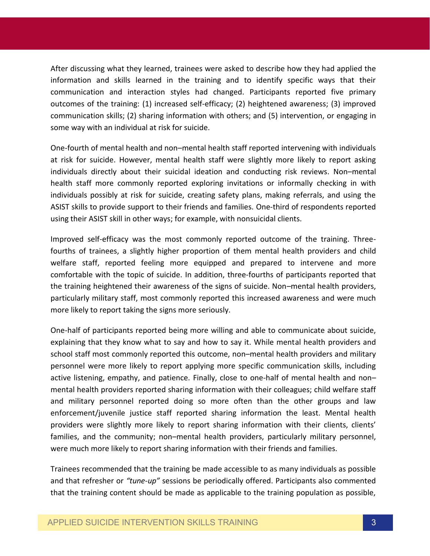After discussing what they learned, trainees were asked to describe how they had applied the information and skills learned in the training and to identify specific ways that their communication and interaction styles had changed. Participants reported five primary outcomes of the training: (1) increased self-efficacy; (2) heightened awareness; (3) improved communication skills; (2) sharing information with others; and (5) intervention, or engaging in some way with an individual at risk for suicide.

One-fourth of mental health and non–mental health staff reported intervening with individuals at risk for suicide. However, mental health staff were slightly more likely to report asking individuals directly about their suicidal ideation and conducting risk reviews. Non–mental health staff more commonly reported exploring invitations or informally checking in with individuals possibly at risk for suicide, creating safety plans, making referrals, and using the ASIST skills to provide support to their friends and families. One-third of respondents reported using their ASIST skill in other ways; for example, with nonsuicidal clients.

Improved self-efficacy was the most commonly reported outcome of the training. Threefourths of trainees, a slightly higher proportion of them mental health providers and child welfare staff, reported feeling more equipped and prepared to intervene and more comfortable with the topic of suicide. In addition, three-fourths of participants reported that the training heightened their awareness of the signs of suicide. Non–mental health providers, particularly military staff, most commonly reported this increased awareness and were much more likely to report taking the signs more seriously.

One-half of participants reported being more willing and able to communicate about suicide, explaining that they know what to say and how to say it. While mental health providers and school staff most commonly reported this outcome, non–mental health providers and military personnel were more likely to report applying more specific communication skills, including active listening, empathy, and patience. Finally, close to one-half of mental health and non– mental health providers reported sharing information with their colleagues; child welfare staff and military personnel reported doing so more often than the other groups and law enforcement/juvenile justice staff reported sharing information the least. Mental health providers were slightly more likely to report sharing information with their clients, clients' families, and the community; non–mental health providers, particularly military personnel, were much more likely to report sharing information with their friends and families.

Trainees recommended that the training be made accessible to as many individuals as possible and that refresher or *"tune-up"* sessions be periodically offered. Participants also commented that the training content should be made as applicable to the training population as possible,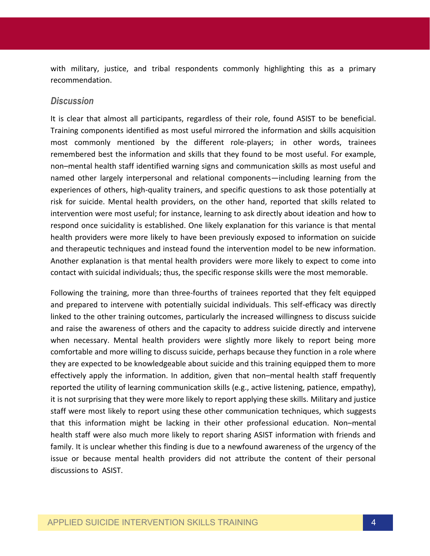with military, justice, and tribal respondents commonly highlighting this as a primary recommendation.

#### *Discussion*

It is clear that almost all participants, regardless of their role, found ASIST to be beneficial. Training components identified as most useful mirrored the information and skills acquisition most commonly mentioned by the different role-players; in other words, trainees remembered best the information and skills that they found to be most useful. For example, non–mental health staff identified warning signs and communication skills as most useful and named other largely interpersonal and relational components—including learning from the experiences of others, high-quality trainers, and specific questions to ask those potentially at risk for suicide. Mental health providers, on the other hand, reported that skills related to intervention were most useful; for instance, learning to ask directly about ideation and how to respond once suicidality is established. One likely explanation for this variance is that mental health providers were more likely to have been previously exposed to information on suicide and therapeutic techniques and instead found the intervention model to be new information. Another explanation is that mental health providers were more likely to expect to come into contact with suicidal individuals; thus, the specific response skills were the most memorable.

Following the training, more than three-fourths of trainees reported that they felt equipped and prepared to intervene with potentially suicidal individuals. This self-efficacy was directly linked to the other training outcomes, particularly the increased willingness to discuss suicide and raise the awareness of others and the capacity to address suicide directly and intervene when necessary. Mental health providers were slightly more likely to report being more comfortable and more willing to discuss suicide, perhaps because they function in a role where they are expected to be knowledgeable about suicide and this training equipped them to more effectively apply the information. In addition, given that non–mental health staff frequently reported the utility of learning communication skills (e.g., active listening, patience, empathy), it is not surprising that they were more likely to report applying these skills. Military and justice staff were most likely to report using these other communication techniques, which suggests that this information might be lacking in their other professional education. Non–mental health staff were also much more likely to report sharing ASIST information with friends and family. It is unclear whether this finding is due to a newfound awareness of the urgency of the issue or because mental health providers did not attribute the content of their personal discussions to ASIST.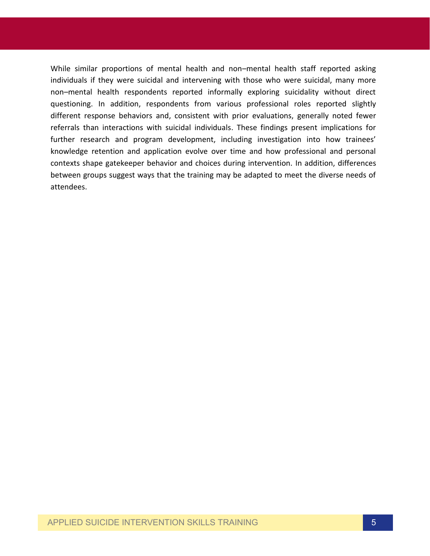While similar proportions of mental health and non–mental health staff reported asking individuals if they were suicidal and intervening with those who were suicidal, many more non–mental health respondents reported informally exploring suicidality without direct questioning. In addition, respondents from various professional roles reported slightly different response behaviors and, consistent with prior evaluations, generally noted fewer referrals than interactions with suicidal individuals. These findings present implications for further research and program development, including investigation into how trainees' knowledge retention and application evolve over time and how professional and personal contexts shape gatekeeper behavior and choices during intervention. In addition, differences between groups suggest ways that the training may be adapted to meet the diverse needs of attendees.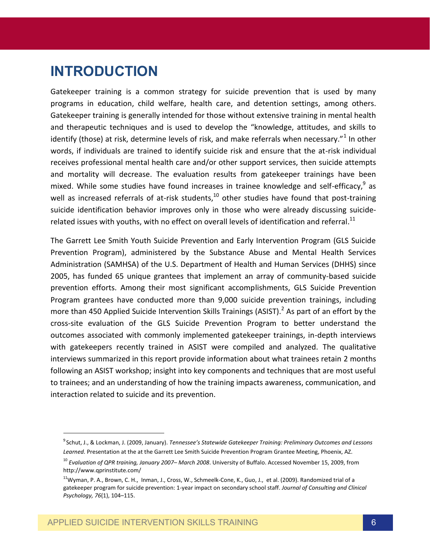## **INTRODUCTION**

Gatekeeper training is a common strategy for suicide prevention that is used by many programs in education, child welfare, health care, and detention settings, among others. Gatekeeper training is generally intended for those without extensive training in mental health and therapeutic techniques and is used to develop the "knowledge, attitudes, and skills to identify (those) at risk, determine levels of risk, and make referrals when necessary."<sup>1</sup> In other words, if individuals are trained to identify suicide risk and ensure that the at-risk individual receives professional mental health care and/or other support services, then suicide attempts and mortality will decrease. The evaluation results from gatekeeper trainings have been mixed. While some studies have found increases in trainee knowledge and self-efficacy,  $9^9$  as well as increased referrals of at-risk students, $10$  other studies have found that post-training suicide identification behavior improves only in those who were already discussing suiciderelated issues with youths, with no effect on overall levels of identification and referral.<sup>11</sup>

The Garrett Lee Smith Youth Suicide Prevention and Early Intervention Program (GLS Suicide Prevention Program), administered by the Substance Abuse and Mental Health Services Administration (SAMHSA) of the U.S. Department of Health and Human Services (DHHS) since 2005, has funded 65 unique grantees that implement an array of community-based suicide prevention efforts. Among their most significant accomplishments, GLS Suicide Prevention Program grantees have conducted more than 9,000 suicide prevention trainings, including more than 450 Applied Suicide Intervention Skills Trainings (ASIST).<sup>2</sup> As part of an effort by the cross-site evaluation of the GLS Suicide Prevention Program to better understand the outcomes associated with commonly implemented gatekeeper trainings, in-depth interviews with gatekeepers recently trained in ASIST were compiled and analyzed. The qualitative interviews summarized in this report provide information about what trainees retain 2 months following an ASIST workshop; insight into key components and techniques that are most useful to trainees; and an understanding of how the training impacts awareness, communication, and interaction related to suicide and its prevention.

 $\overline{a}$ 

<sup>9</sup> Schut, J., & Lockman, J. (2009, January). *Tennessee's Statewide Gatekeeper Training: Preliminary Outcomes and Lessons Learned.* Presentation at the at the Garrett Lee Smith Suicide Prevention Program Grantee Meeting, Phoenix, AZ.

<sup>10</sup> *Evaluation of QPR training, January 2007– March 2008*. University of Buffalo. Accessed November 15, 2009, from http://www.qprinstitute.com/

<sup>&</sup>lt;sup>11</sup>Wyman, P. A., Brown, C. H., Inman, J., Cross, W., Schmeelk-Cone, K., Guo, J., et al. (2009). Randomized trial of a gatekeeper program for suicide prevention: 1-year impact on secondary school staff. *Journal of Consulting and Clinical Psychology, 76*(1), 104–115.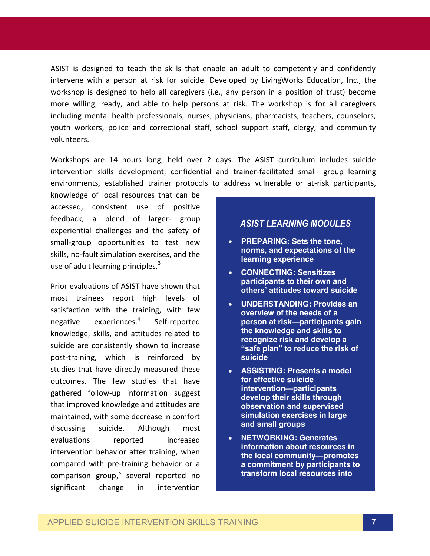ASIST is designed to teach the skills that enable an adult to competently and confidently intervene with a person at risk for suicide. Developed by LivingWorks Education, Inc., the workshop is designed to help all caregivers (i.e., any person in a position of trust) become more willing, ready, and able to help persons at risk. The workshop is for all caregivers including mental health professionals, nurses, physicians, pharmacists, teachers, counselors, youth workers, police and correctional staff, school support staff, clergy, and community volunteers.

Workshops are 14 hours long, held over 2 days. The ASIST curriculum includes suicide intervention skills development, confidential and trainer-facilitated small- group learning environments, established trainer protocols to address vulnerable or at-risk participants,

knowledge of local resources that can be accessed, consistent use of positive feedback, a blend of larger- group experiential challenges and the safety of small-group opportunities to test new skills, no-fault simulation exercises, and the use of adult learning principles.<sup>3</sup>

Prior evaluations of ASIST have shown that most trainees report high levels of satisfaction with the training, with few negative experiences.<sup>4</sup> Self-reported knowledge, skills, and attitudes related to suicide are consistently shown to increase post-training, which is reinforced by studies that have directly measured these outcomes. The few studies that have gathered follow-up information suggest that improved knowledge and attitudes are maintained, with some decrease in comfort discussing suicide. Although most evaluations reported increased intervention behavior after training, when compared with pre-training behavior or a comparison group, <sup>5</sup> several reported no significant change in intervention

### *ASIST LEARNING MODULES*

- **PREPARING: Sets the tone, norms, and expectations of the learning experience**
- **CONNECTING: Sensitizes participants to their own and others' attitudes toward suicide**
- **UNDERSTANDING: Provides an overview of the needs of a person at risk—participants gain the knowledge and skills to recognize risk and develop a "safe plan" to reduce the risk of suicide**
- **ASSISTING: Presents a model for effective suicide intervention—participants develop their skills through observation and supervised simulation exercises in large and small groups**
- **NETWORKING: Generates information about resources in the local community—promotes a commitment by participants to transform local resources into**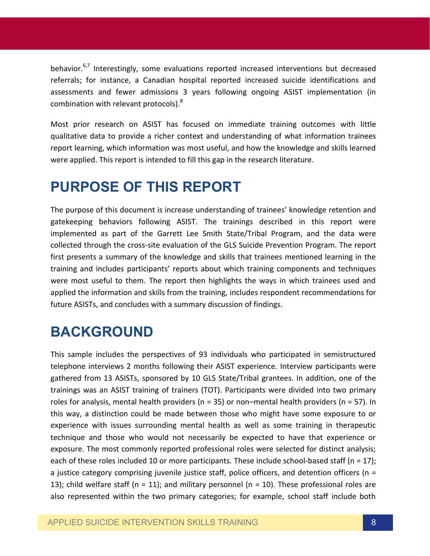behavior.<sup>6,7</sup> Interestingly, some evaluations reported increased interventions but decreased referrals; for instance, a Canadian hospital reported increased suicide identifications and assessments and fewer admissions 3 years following ongoing ASIST implementation (in combination with relevant protocols).<sup>8</sup>

Most prior research on ASIST has focused on immediate training outcomes with little qualitative data to provide a richer context and understanding of what information trainees report learning, which information was most useful, and how the knowledge and skills learned were applied. This report is intended to fill this gap in the research literature.

## **PURPOSE OF THIS REPORT**

The purpose of this document is increase understanding of trainees' knowledge retention and gatekeeping behaviors following ASIST. The trainings described in this report were implemented as part of the Garrett Lee Smith State/Tribal Program, and the data were collected through the cross-site evaluation of the GLS Suicide Prevention Program. The report first presents a summary of the knowledge and skills that trainees mentioned learning in the training and includes participants' reports about which training components and techniques were most useful to them. The report then highlights the ways in which trainees used and applied the information and skills from the training, includes respondent recommendations for future ASISTs, and concludes with a summary discussion of findings.

## **BACKGROUND**

This sample includes the perspectives of 93 individuals who participated in semistructured telephone interviews 2 months following their ASIST experience. Interview participants were gathered from 13 ASISTs, sponsored by 10 GLS State/Tribal grantees. In addition, one of the trainings was an ASIST training of trainers (TOT). Participants were divided into two primary roles for analysis, mental health providers ( $n = 35$ ) or non–mental health providers ( $n = 57$ ). In this way, a distinction could be made between those who might have some exposure to or experience with issues surrounding mental health as well as some training in therapeutic technique and those who would not necessarily be expected to have that experience or exposure. The most commonly reported professional roles were selected for distinct analysis; each of these roles included 10 or more participants. These include school-based staff ( $n = 17$ ); a justice category comprising juvenile justice staff, police officers, and detention officers (n = 13); child welfare staff ( $n = 11$ ); and military personnel ( $n = 10$ ). These professional roles are also represented within the two primary categories; for example, school staff include both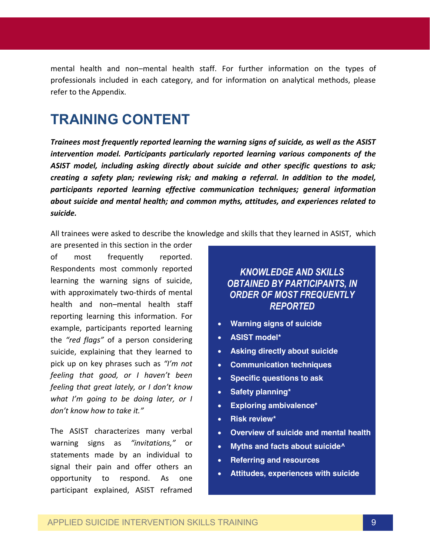mental health and non–mental health staff. For further information on the types of professionals included in each category, and for information on analytical methods, please refer to the Appendix.

## **TRAINING CONTENT**

*Trainees most frequently reported learning the warning signs of suicide, as well as the ASIST intervention model. Participants particularly reported learning various components of the ASIST model, including asking directly about suicide and other specific questions to ask; creating a safety plan; reviewing risk; and making a referral. In addition to the model, participants reported learning effective communication techniques; general information about suicide and mental health; and common myths, attitudes, and experiences related to suicide.* 

All trainees were asked to describe the knowledge and skills that they learned in ASIST, which

are presented in this section in the order of most frequently reported. Respondents most commonly reported learning the warning signs of suicide, with approximately two-thirds of mental health and non–mental health staff reporting learning this information. For example, participants reported learning the *"red flags"* of a person considering suicide, explaining that they learned to pick up on key phrases such as *"I'm not feeling that good, or I haven't been feeling that great lately, or I don't know what I'm going to be doing later, or I don't know how to take it."* 

The ASIST characterizes many verbal warning signs as *"invitations,"* or statements made by an individual to signal their pain and offer others an opportunity to respond. As one participant explained, ASIST reframed

*KNOWLEDGE AND SKILLS OBTAINED BY PARTICIPANTS, IN ORDER OF MOST FREQUENTLY REPORTED*

- **Warning signs of suicide**
- **ASIST model\***
- **Asking directly about suicide**
- **Communication techniques**
- **Specific questions to ask**
- **•** Safety planning\*
- **Exploring ambivalence\***
- **Risk review\***
- **Overview of suicide and mental health**
- **Myths and facts about suicide^**
- **Referring and resources**
- **Attitudes, experiences with suicide**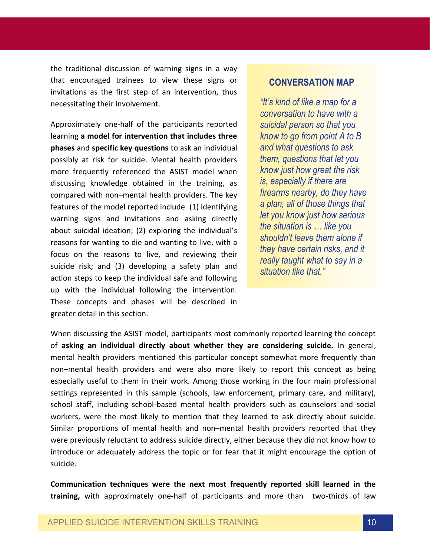the traditional discussion of warning signs in a way that encouraged trainees to view these signs or invitations as the first step of an intervention, thus necessitating their involvement.

Approximately one-half of the participants reported learning **a model for intervention that includes three phases** and **specific key questions** to ask an individual possibly at risk for suicide. Mental health providers more frequently referenced the ASIST model when discussing knowledge obtained in the training, as compared with non–mental health providers. The key features of the model reported include (1) identifying warning signs and invitations and asking directly about suicidal ideation; (2) exploring the individual's reasons for wanting to die and wanting to live, with a focus on the reasons to live, and reviewing their suicide risk; and (3) developing a safety plan and action steps to keep the individual safe and following up with the individual following the intervention. These concepts and phases will be described in greater detail in this section.

### **CONVERSATION MAP**

*"It's kind of like a map for a conversation to have with a suicidal person so that you know to go from point A to B and what questions to ask them, questions that let you know just how great the risk is, especially if there are firearms nearby, do they have a plan, all of those things that let you know just how serious the situation is … like you shouldn't leave them alone if they have certain risks, and it really taught what to say in a situation like that."*

When discussing the ASIST model, participants most commonly reported learning the concept of **asking an individual directly about whether they are considering suicide.** In general, mental health providers mentioned this particular concept somewhat more frequently than non–mental health providers and were also more likely to report this concept as being especially useful to them in their work. Among those working in the four main professional settings represented in this sample (schools, law enforcement, primary care, and military), school staff, including school-based mental health providers such as counselors and social workers, were the most likely to mention that they learned to ask directly about suicide. Similar proportions of mental health and non–mental health providers reported that they were previously reluctant to address suicide directly, either because they did not know how to introduce or adequately address the topic or for fear that it might encourage the option of suicide.

**Communication techniques were the next most frequently reported skill learned in the training,** with approximately one-half of participants and more than two-thirds of law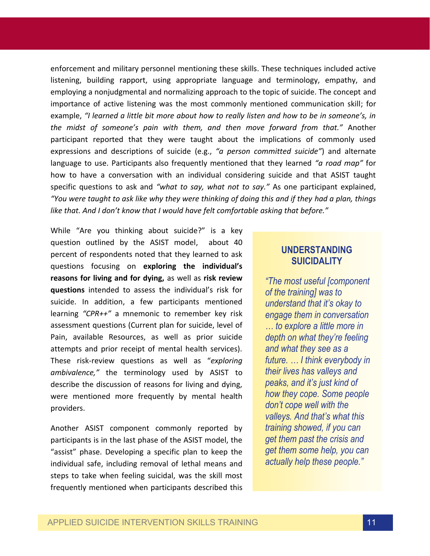enforcement and military personnel mentioning these skills. These techniques included active listening, building rapport, using appropriate language and terminology, empathy, and employing a nonjudgmental and normalizing approach to the topic of suicide. The concept and importance of active listening was the most commonly mentioned communication skill; for example, *"I learned a little bit more about how to really listen and how to be in someone's, in the midst of someone's pain with them, and then move forward from that."* Another participant reported that they were taught about the implications of commonly used expressions and descriptions of suicide (e.g., *"a person committed suicide"*) and alternate language to use. Participants also frequently mentioned that they learned *"a road map"* for how to have a conversation with an individual considering suicide and that ASIST taught specific questions to ask and *"what to say, what not to say."* As one participant explained, *"You were taught to ask like why they were thinking of doing this and if they had a plan, things like that. And I don't know that I would have felt comfortable asking that before."*

While "Are you thinking about suicide?" is a key question outlined by the ASIST model, about 40 percent of respondents noted that they learned to ask questions focusing on **exploring the individual's reasons for living and for dying,** as well as **risk review questions** intended to assess the individual's risk for suicide. In addition, a few participants mentioned learning *"CPR++"* a mnemonic to remember key risk assessment questions (Current plan for suicide, level of Pain, available Resources, as well as prior suicide attempts and prior receipt of mental health services). These risk-review questions as well as "*exploring ambivalence,"* the terminology used by ASIST to describe the discussion of reasons for living and dying, were mentioned more frequently by mental health providers.

Another ASIST component commonly reported by participants is in the last phase of the ASIST model, the "assist" phase. Developing a specific plan to keep the individual safe, including removal of lethal means and steps to take when feeling suicidal, was the skill most frequently mentioned when participants described this

### **UNDERSTANDING SUICIDALITY**

*"The most useful [component of the training] was to understand that it's okay to engage them in conversation … to explore a little more in depth on what they're feeling and what they see as a future. … I think everybody in their lives has valleys and peaks, and it's just kind of how they cope. Some people don't cope well with the valleys. And that's what this training showed, if you can get them past the crisis and get them some help, you can actually help these people."*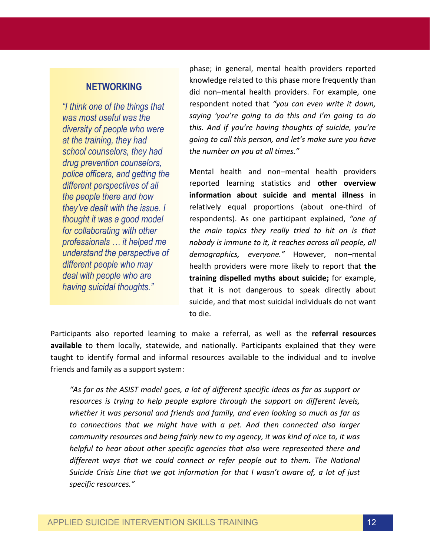### **NETWORKING**

*"I think one of the things that was most useful was the diversity of people who were at the training, they had school counselors, they had drug prevention counselors, police officers, and getting the different perspectives of all the people there and how they've dealt with the issue. I thought it was a good model for collaborating with other professionals … it helped me understand the perspective of different people who may deal with people who are having suicidal thoughts."*

phase; in general, mental health providers reported knowledge related to this phase more frequently than did non–mental health providers. For example, one respondent noted that *"you can even write it down, saying 'you're going to do this and I'm going to do this. And if you're having thoughts of suicide, you're going to call this person, and let's make sure you have the number on you at all times."*

Mental health and non–mental health providers reported learning statistics and **other overview information about suicide and mental illness** in relatively equal proportions (about one-third of respondents). As one participant explained, *"one of the main topics they really tried to hit on is that nobody is immune to it, it reaches across all people, all demographics, everyone."* However, non–mental health providers were more likely to report that **the training dispelled myths about suicide;** for example, that it is not dangerous to speak directly about suicide, and that most suicidal individuals do not want to die.

Participants also reported learning to make a referral, as well as the **referral resources available** to them locally, statewide, and nationally. Participants explained that they were taught to identify formal and informal resources available to the individual and to involve friends and family as a support system:

*"As far as the ASIST model goes, a lot of different specific ideas as far as support or resources is trying to help people explore through the support on different levels, whether it was personal and friends and family, and even looking so much as far as*  to connections that we might have with a pet. And then connected also larger *community resources and being fairly new to my agency, it was kind of nice to, it was helpful to hear about other specific agencies that also were represented there and different ways that we could connect or refer people out to them. The National Suicide Crisis Line that we got information for that I wasn't aware of, a lot of just specific resources."*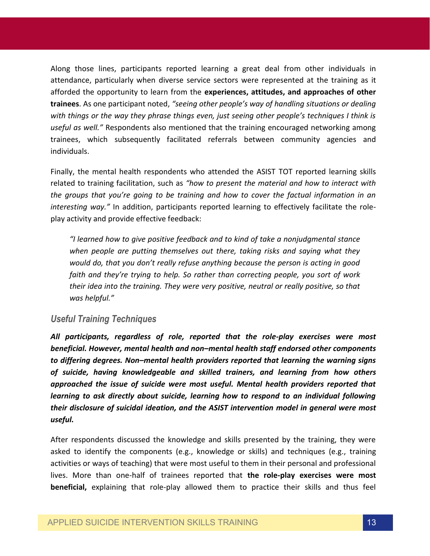Along those lines, participants reported learning a great deal from other individuals in attendance, particularly when diverse service sectors were represented at the training as it afforded the opportunity to learn from the **experiences, attitudes, and approaches of other trainees**. As one participant noted, *"seeing other people's way of handling situations or dealing with things or the way they phrase things even, just seeing other people's techniques I think is useful as well."* Respondents also mentioned that the training encouraged networking among trainees, which subsequently facilitated referrals between community agencies and individuals.

Finally, the mental health respondents who attended the ASIST TOT reported learning skills related to training facilitation, such as *"how to present the material and how to interact with the groups that you're going to be training and how to cover the factual information in an interesting way."* In addition, participants reported learning to effectively facilitate the roleplay activity and provide effective feedback:

*"I learned how to give positive feedback and to kind of take a nonjudgmental stance when people are putting themselves out there, taking risks and saying what they would do, that you don't really refuse anything because the person is acting in good faith and they're trying to help. So rather than correcting people, you sort of work their idea into the training. They were very positive, neutral or really positive, so that was helpful."* 

#### *Useful Training Techniques*

*All participants, regardless of role, reported that the role-play exercises were most beneficial. However, mental health and non–mental health staff endorsed other components to differing degrees. Non–mental health providers reported that learning the warning signs of suicide, having knowledgeable and skilled trainers, and learning from how others approached the issue of suicide were most useful. Mental health providers reported that learning to ask directly about suicide, learning how to respond to an individual following their disclosure of suicidal ideation, and the ASIST intervention model in general were most useful.*

After respondents discussed the knowledge and skills presented by the training, they were asked to identify the components (e.g., knowledge or skills) and techniques (e.g., training activities or ways of teaching) that were most useful to them in their personal and professional lives. More than one-half of trainees reported that **the role-play exercises were most beneficial,** explaining that role-play allowed them to practice their skills and thus feel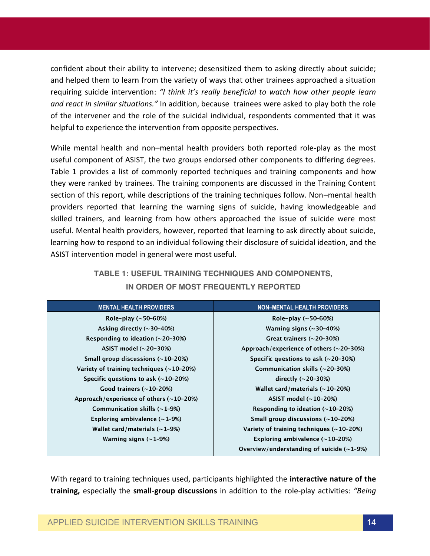confident about their ability to intervene; desensitized them to asking directly about suicide; and helped them to learn from the variety of ways that other trainees approached a situation requiring suicide intervention: *"I think it's really beneficial to watch how other people learn and react in similar situations."* In addition, because trainees were asked to play both the role of the intervener and the role of the suicidal individual, respondents commented that it was helpful to experience the intervention from opposite perspectives.

While mental health and non–mental health providers both reported role-play as the most useful component of ASIST, the two groups endorsed other components to differing degrees. Table 1 provides a list of commonly reported techniques and training components and how they were ranked by trainees. The training components are discussed in the Training Content section of this report, while descriptions of the training techniques follow. Non–mental health providers reported that learning the warning signs of suicide, having knowledgeable and skilled trainers, and learning from how others approached the issue of suicide were most useful. Mental health providers, however, reported that learning to ask directly about suicide, learning how to respond to an individual following their disclosure of suicidal ideation, and the ASIST intervention model in general were most useful.

| <b>MENTAL HEALTH PROVIDERS</b>            | <b>NON-MENTAL HEALTH PROVIDERS</b>          |
|-------------------------------------------|---------------------------------------------|
| Role-play $(\sim 50 - 60%)$               | Role-play $(-50-60%)$                       |
| Asking directly $(\sim 30 - 40\%)$        | Warning signs $(-30-40%)$                   |
| Responding to ideation $(-20-30%)$        | Great trainers $(-20-30%)$                  |
| ASIST model $(\sim 20-30\%)$              | Approach/experience of others $(-20-30%)$   |
| Small group discussions $(\sim 10-20\%)$  | Specific questions to ask $(-20-30%)$       |
| Variety of training techniques (~10-20%)  | Communication skills $(\sim 20-30\%)$       |
| Specific questions to ask $(-10-20%)$     | directly $(\sim 20 - 30\%)$                 |
| Good trainers $(-10-20%)$                 | Wallet card/materials $(-10-20%)$           |
| Approach/experience of others $(-10-20%)$ | ASIST model $(-10-20%)$                     |
| Communication skills $(-1-9%)$            | Responding to ideation $(-10-20%)$          |
| Exploring ambivalence $(-1-9%)$           | Small group discussions $(\sim 10-20\%)$    |
| Wallet card/materials $(-1-9%)$           | Variety of training techniques $(-10-20%)$  |
| Warning signs $(-1-9%)$                   | Exploring ambivalence $(-10-20%)$           |
|                                           | Overview/understanding of suicide $(-1-9%)$ |

**TABLE 1: USEFUL TRAINING TECHNIQUES AND COMPONENTS, IN ORDER OF MOST FREQUENTLY REPORTED**

With regard to training techniques used, participants highlighted the **interactive nature of the training,** especially the **small-group discussions** in addition to the role-play activities: *"Being*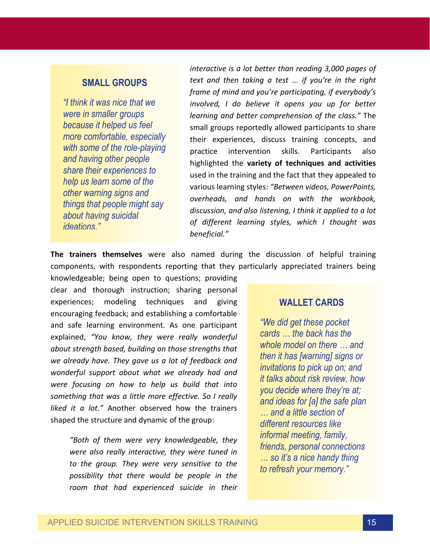### **SMALL GROUPS**

*"I think it was nice that we were in smaller groups because it helped us feel more comfortable, especially with some of the role-playing and having other people share their experiences to help us learn some of the other warning signs and things that people might say about having suicidal ideations."*

*interactive is a lot better than reading 3,000 pages of text and then taking a test ... if you're in the right frame of mind and you're participating, if everybody's involved, I do believe it opens you up for better learning and better comprehension of the class."* The small groups reportedly allowed participants to share their experiences, discuss training concepts, and practice intervention skills. Participants also highlighted the **variety of techniques and activities** used in the training and the fact that they appealed to various learning styles: *"Between videos, PowerPoints, overheads, and hands on with the workbook, discussion, and also listening, I think it applied to a lot of different learning styles, which I thought was beneficial."*

**The trainers themselves** were also named during the discussion of helpful training components, with respondents reporting that they particularly appreciated trainers being

knowledgeable; being open to questions; providing clear and thorough instruction; sharing personal experiences; modeling techniques and giving encouraging feedback; and establishing a comfortable and safe learning environment. As one participant explained, *"You know, they were really wonderful about strength based, building on those strengths that we already have. They gave us a lot of feedback and wonderful support about what we already had and were focusing on how to help us build that into something that was a little more effective. So I really liked it a lot."* Another observed how the trainers shaped the structure and dynamic of the group:

*"Both of them were very knowledgeable, they were also really interactive, they were tuned in to the group. They were very sensitive to the possibility that there would be people in the room that had experienced suicide in their* 

#### **WALLET CARDS**

*"We did get these pocket cards … the back has the whole model on there … and then it has [warning] signs or invitations to pick up on; and it talks about risk review, how you decide where they're at; and ideas for [a] the safe plan … and a little section of different resources like informal meeting, family, friends, personal connections … so it's a nice handy thing to refresh your memory."*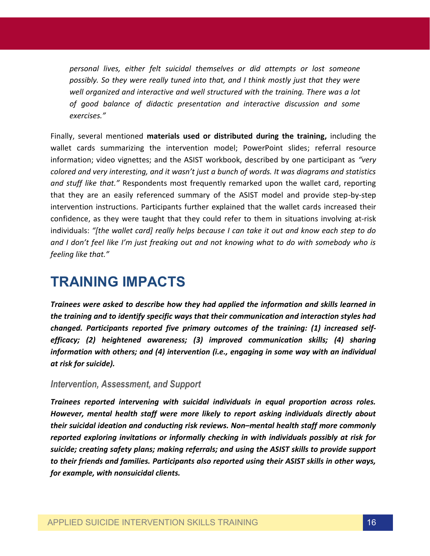*personal lives, either felt suicidal themselves or did attempts or lost someone possibly. So they were really tuned into that, and I think mostly just that they were well organized and interactive and well structured with the training. There was a lot of good balance of didactic presentation and interactive discussion and some exercises."* 

Finally, several mentioned **materials used or distributed during the training,** including the wallet cards summarizing the intervention model; PowerPoint slides; referral resource information; video vignettes; and the ASIST workbook, described by one participant as *"very colored and very interesting, and it wasn't just a bunch of words. It was diagrams and statistics and stuff like that."* Respondents most frequently remarked upon the wallet card, reporting that they are an easily referenced summary of the ASIST model and provide step-by-step intervention instructions. Participants further explained that the wallet cards increased their confidence, as they were taught that they could refer to them in situations involving at-risk individuals: *"[the wallet card] really helps because I can take it out and know each step to do and I don't feel like I'm just freaking out and not knowing what to do with somebody who is feeling like that."*

### **TRAINING IMPACTS**

*Trainees were asked to describe how they had applied the information and skills learned in the training and to identify specific ways that their communication and interaction styles had changed. Participants reported five primary outcomes of the training: (1) increased selfefficacy; (2) heightened awareness; (3) improved communication skills; (4) sharing information with others; and (4) intervention (i.e., engaging in some way with an individual at risk for suicide).* 

#### *Intervention, Assessment, and Support*

*Trainees reported intervening with suicidal individuals in equal proportion across roles. However, mental health staff were more likely to report asking individuals directly about their suicidal ideation and conducting risk reviews. Non–mental health staff more commonly reported exploring invitations or informally checking in with individuals possibly at risk for suicide; creating safety plans; making referrals; and using the ASIST skills to provide support to their friends and families. Participants also reported using their ASIST skills in other ways, for example, with nonsuicidal clients.*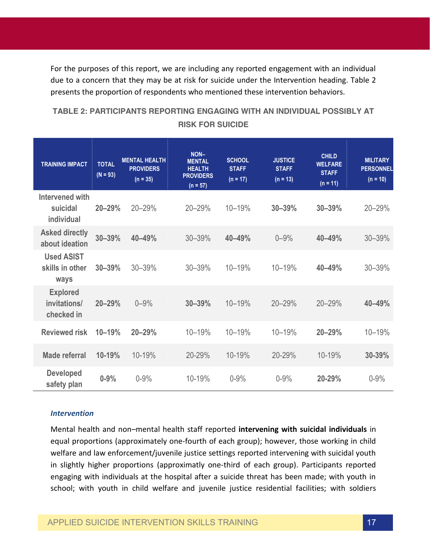For the purposes of this report, we are including any reported engagement with an individual due to a concern that they may be at risk for suicide under the Intervention heading. Table 2 presents the proportion of respondents who mentioned these intervention behaviors.

### **TABLE 2: PARTICIPANTS REPORTING ENGAGING WITH AN INDIVIDUAL POSSIBLY AT RISK FOR SUICIDE**

| <b>TRAINING IMPACT</b>                        | <b>TOTAL</b><br>$(N = 93)$ | <b>MENTAL HEALTH</b><br><b>PROVIDERS</b><br>$(n = 35)$ | NON-<br><b>MENTAL</b><br><b>HEALTH</b><br><b>PROVIDERS</b><br>$(n = 57)$ | <b>SCHOOL</b><br><b>STAFF</b><br>$(n = 17)$ | <b>JUSTICE</b><br><b>STAFF</b><br>$(n = 13)$ | <b>CHILD</b><br><b>WELFARE</b><br><b>STAFF</b><br>$(n = 11)$ | <b>MILITARY</b><br><b>PERSONNEL</b><br>$(n = 10)$ |
|-----------------------------------------------|----------------------------|--------------------------------------------------------|--------------------------------------------------------------------------|---------------------------------------------|----------------------------------------------|--------------------------------------------------------------|---------------------------------------------------|
| Intervened with<br>suicidal<br>individual     | 20-29%                     | 20-29%                                                 | 20-29%                                                                   | 10-19%                                      | 30-39%                                       | 30-39%                                                       | 20-29%                                            |
| <b>Asked directly</b><br>about ideation       | 30-39%                     | 40-49%                                                 | 30-39%                                                                   | 40-49%                                      | $0 - 9%$                                     | 40-49%                                                       | 30-39%                                            |
| <b>Used ASIST</b><br>skills in other<br>ways  | $30 - 39%$                 | 30-39%                                                 | 30-39%                                                                   | 10-19%                                      | 10-19%                                       | 40-49%                                                       | 30-39%                                            |
| <b>Explored</b><br>invitations/<br>checked in | 20-29%                     | $0 - 9%$                                               | 30-39%                                                                   | 10-19%                                      | 20-29%                                       | 20-29%                                                       | 40-49%                                            |
| <b>Reviewed risk</b>                          | 10-19%                     | 20-29%                                                 | 10-19%                                                                   | 10-19%                                      | 10-19%                                       | 20-29%                                                       | 10-19%                                            |
| Made referral                                 | 10-19%                     | 10-19%                                                 | 20-29%                                                                   | 10-19%                                      | 20-29%                                       | 10-19%                                                       | 30-39%                                            |
| <b>Developed</b><br>safety plan               | $0 - 9%$                   | $0 - 9%$                                               | 10-19%                                                                   | $0 - 9%$                                    | $0 - 9%$                                     | 20-29%                                                       | $0 - 9%$                                          |

#### *Intervention*

Mental health and non–mental health staff reported **intervening with suicidal individuals** in equal proportions (approximately one-fourth of each group); however, those working in child welfare and law enforcement/juvenile justice settings reported intervening with suicidal youth in slightly higher proportions (approximatly one-third of each group). Participants reported engaging with individuals at the hospital after a suicide threat has been made; with youth in school; with youth in child welfare and juvenile justice residential facilities; with soldiers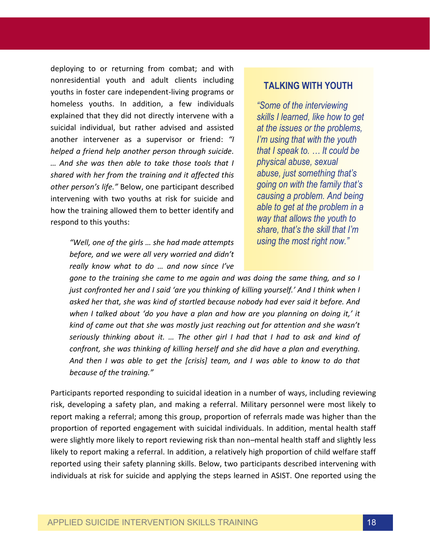deploying to or returning from combat; and with nonresidential youth and adult clients including youths in foster care independent-living programs or homeless youths. In addition, a few individuals explained that they did not directly intervene with a suicidal individual, but rather advised and assisted another intervener as a supervisor or friend: *"I helped a friend help another person through suicide. … And she was then able to take those tools that I shared with her from the training and it affected this other person's life."* Below, one participant described intervening with two youths at risk for suicide and how the training allowed them to better identify and respond to this youths:

> *"Well, one of the girls … she had made attempts before, and we were all very worried and didn't really know what to do … and now since I've*

#### **TALKING WITH YOUTH**

*"Some of the interviewing skills I learned, like how to get at the issues or the problems, I'm using that with the youth that I speak to. … It could be physical abuse, sexual abuse, just something that's going on with the family that's causing a problem. And being able to get at the problem in a way that allows the youth to share, that's the skill that I'm using the most right now."*

*gone to the training she came to me again and was doing the same thing, and so I just confronted her and I said 'are you thinking of killing yourself.' And I think when I asked her that, she was kind of startled because nobody had ever said it before. And when I talked about 'do you have a plan and how are you planning on doing it,' it kind of came out that she was mostly just reaching out for attention and she wasn't seriously thinking about it. … The other girl I had that I had to ask and kind of confront, she was thinking of killing herself and she did have a plan and everything. And then I was able to get the [crisis] team, and I was able to know to do that because of the training."*

Participants reported responding to suicidal ideation in a number of ways, including reviewing risk, developing a safety plan, and making a referral. Military personnel were most likely to report making a referral; among this group, proportion of referrals made was higher than the proportion of reported engagement with suicidal individuals. In addition, mental health staff were slightly more likely to report reviewing risk than non–mental health staff and slightly less likely to report making a referral. In addition, a relatively high proportion of child welfare staff reported using their safety planning skills. Below, two participants described intervening with individuals at risk for suicide and applying the steps learned in ASIST. One reported using the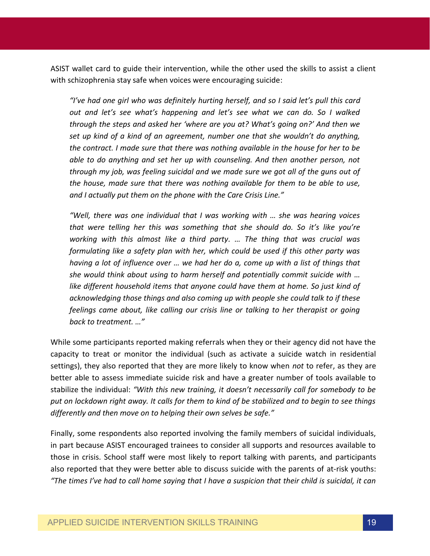ASIST wallet card to guide their intervention, while the other used the skills to assist a client with schizophrenia stay safe when voices were encouraging suicide:

*"I've had one girl who was definitely hurting herself, and so I said let's pull this card out and let's see what's happening and let's see what we can do. So I walked through the steps and asked her 'where are you at? What's going on?' And then we set up kind of a kind of an agreement, number one that she wouldn't do anything, the contract. I made sure that there was nothing available in the house for her to be able to do anything and set her up with counseling. And then another person, not through my job, was feeling suicidal and we made sure we got all of the guns out of the house, made sure that there was nothing available for them to be able to use, and I actually put them on the phone with the Care Crisis Line."* 

*"Well, there was one individual that I was working with … she was hearing voices that were telling her this was something that she should do. So it's like you're working with this almost like a third party. … The thing that was crucial was formulating like a safety plan with her, which could be used if this other party was having a lot of influence over … we had her do a, come up with a list of things that she would think about using to harm herself and potentially commit suicide with … like different household items that anyone could have them at home. So just kind of acknowledging those things and also coming up with people she could talk to if these feelings came about, like calling our crisis line or talking to her therapist or going back to treatment. …"* 

While some participants reported making referrals when they or their agency did not have the capacity to treat or monitor the individual (such as activate a suicide watch in residential settings), they also reported that they are more likely to know when *not* to refer, as they are better able to assess immediate suicide risk and have a greater number of tools available to stabilize the individual: *"With this new training, it doesn't necessarily call for somebody to be put on lockdown right away. It calls for them to kind of be stabilized and to begin to see things differently and then move on to helping their own selves be safe."*

Finally, some respondents also reported involving the family members of suicidal individuals, in part because ASIST encouraged trainees to consider all supports and resources available to those in crisis. School staff were most likely to report talking with parents, and participants also reported that they were better able to discuss suicide with the parents of at-risk youths: *"The times I've had to call home saying that I have a suspicion that their child is suicidal, it can*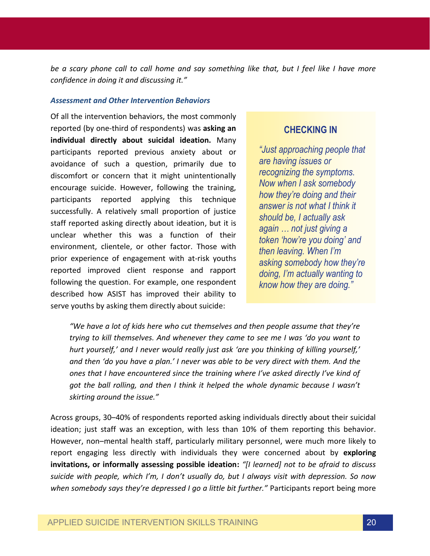*be a scary phone call to call home and say something like that, but I feel like I have more confidence in doing it and discussing it."*

#### *Assessment and Other Intervention Behaviors*

Of all the intervention behaviors, the most commonly reported (by one-third of respondents) was **asking an individual directly about suicidal ideation.** Many participants reported previous anxiety about or avoidance of such a question, primarily due to discomfort or concern that it might unintentionally encourage suicide. However, following the training, participants reported applying this technique successfully. A relatively small proportion of justice staff reported asking directly about ideation, but it is unclear whether this was a function of their environment, clientele, or other factor. Those with prior experience of engagement with at-risk youths reported improved client response and rapport following the question. For example, one respondent described how ASIST has improved their ability to serve youths by asking them directly about suicide:

### **CHECKING IN**

*"Just approaching people that are having issues or recognizing the symptoms. Now when I ask somebody how they're doing and their answer is not what I think it should be, I actually ask again … not just giving a token 'how're you doing' and then leaving. When I'm asking somebody how they're doing, I'm actually wanting to know how they are doing."*

*"We have a lot of kids here who cut themselves and then people assume that they're trying to kill themselves. And whenever they came to see me I was 'do you want to hurt yourself,' and I never would really just ask 'are you thinking of killing yourself,' and then 'do you have a plan.' I never was able to be very direct with them. And the ones that I have encountered since the training where I've asked directly I've kind of got the ball rolling, and then I think it helped the whole dynamic because I wasn't skirting around the issue."*

Across groups, 30–40% of respondents reported asking individuals directly about their suicidal ideation; just staff was an exception, with less than 10% of them reporting this behavior. However, non–mental health staff, particularly military personnel, were much more likely to report engaging less directly with individuals they were concerned about by **exploring invitations, or informally assessing possible ideation:** *"[I learned] not to be afraid to discuss suicide with people, which I'm, I don't usually do, but I always visit with depression. So now when somebody says they're depressed I go a little bit further."* Participants report being more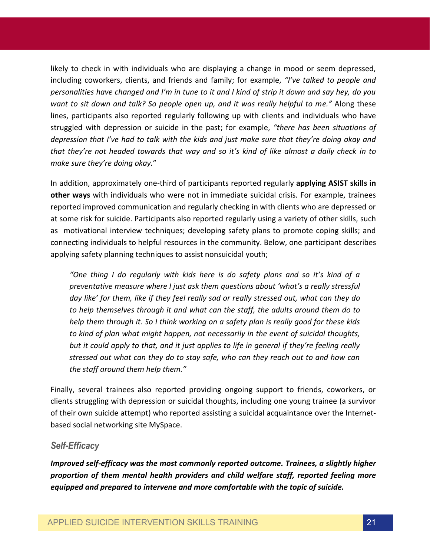likely to check in with individuals who are displaying a change in mood or seem depressed, including coworkers, clients, and friends and family; for example, *"I've talked to people and personalities have changed and I'm in tune to it and I kind of strip it down and say hey, do you want to sit down and talk? So people open up, and it was really helpful to me."* Along these lines, participants also reported regularly following up with clients and individuals who have struggled with depression or suicide in the past; for example, *"there has been situations of depression that I've had to talk with the kids and just make sure that they're doing okay and that they're not headed towards that way and so it's kind of like almost a daily check in to make sure they're doing okay.*"

In addition, approximately one-third of participants reported regularly **applying ASIST skills in other ways** with individuals who were not in immediate suicidal crisis. For example, trainees reported improved communication and regularly checking in with clients who are depressed or at some risk for suicide. Participants also reported regularly using a variety of other skills, such as motivational interview techniques; developing safety plans to promote coping skills; and connecting individuals to helpful resources in the community. Below, one participant describes applying safety planning techniques to assist nonsuicidal youth;

*"One thing I do regularly with kids here is do safety plans and so it's kind of a preventative measure where I just ask them questions about 'what's a really stressful day like' for them, like if they feel really sad or really stressed out, what can they do to help themselves through it and what can the staff, the adults around them do to help them through it. So I think working on a safety plan is really good for these kids to kind of plan what might happen, not necessarily in the event of suicidal thoughts, but it could apply to that, and it just applies to life in general if they're feeling really stressed out what can they do to stay safe, who can they reach out to and how can the staff around them help them."*

Finally, several trainees also reported providing ongoing support to friends, coworkers, or clients struggling with depression or suicidal thoughts, including one young trainee (a survivor of their own suicide attempt) who reported assisting a suicidal acquaintance over the Internetbased social networking site MySpace.

#### *Self-Efficacy*

*Improved self-efficacy was the most commonly reported outcome. Trainees, a slightly higher proportion of them mental health providers and child welfare staff, reported feeling more equipped and prepared to intervene and more comfortable with the topic of suicide.*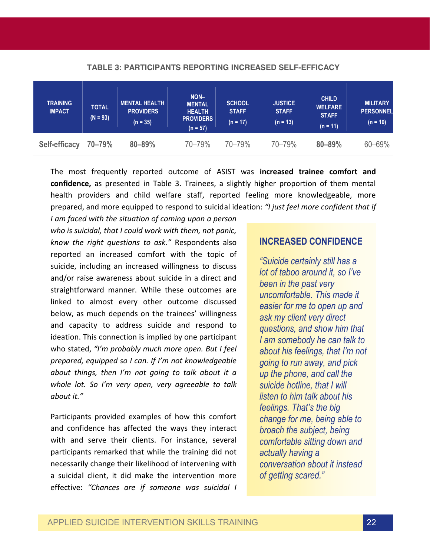| <b>TRAINING</b><br><b>IMPACT</b> | <b>TOTAL</b><br>$(N = 93)$ | <b>MENTAL HEALTH</b><br><b>PROVIDERS</b><br>$(n = 35)$ | NON-<br><b>MENTAL</b><br><b>HEALTH</b><br><b>PROVIDERS</b><br>$(n = 57)$ | <b>SCHOOL</b><br><b>STAFF</b><br>$(n = 17)$ | <b>JUSTICE</b><br><b>STAFF</b><br>$(n = 13)$ | <b>CHILD</b><br><b>WELFARE</b><br><b>STAFF</b><br>$(n = 11)$ | <b>MILITARY</b><br><b>PERSONNEL</b><br>$(n = 10)$ |
|----------------------------------|----------------------------|--------------------------------------------------------|--------------------------------------------------------------------------|---------------------------------------------|----------------------------------------------|--------------------------------------------------------------|---------------------------------------------------|
| Self-efficacy                    | 70-79%                     | $80 - 89%$                                             | 70-79%                                                                   | 70-79%                                      | 70-79%                                       | $80 - 89%$                                                   | 60-69%                                            |

#### **TABLE 3: PARTICIPANTS REPORTING INCREASED SELF-EFFICACY**

The most frequently reported outcome of ASIST was **increased trainee comfort and confidence,** as presented in Table 3. Trainees, a slightly higher proportion of them mental health providers and child welfare staff, reported feeling more knowledgeable, more prepared, and more equipped to respond to suicidal ideation: *"I just feel more confident that if* 

*I am faced with the situation of coming upon a person who is suicidal, that I could work with them, not panic, know the right questions to ask."* Respondents also reported an increased comfort with the topic of suicide, including an increased willingness to discuss and/or raise awareness about suicide in a direct and straightforward manner. While these outcomes are linked to almost every other outcome discussed below, as much depends on the trainees' willingness and capacity to address suicide and respond to ideation. This connection is implied by one participant who stated, *"I'm probably much more open. But I feel prepared, equipped so I can. If I'm not knowledgeable about things, then I'm not going to talk about it a whole lot. So I'm very open, very agreeable to talk about it."*

Participants provided examples of how this comfort and confidence has affected the ways they interact with and serve their clients. For instance, several participants remarked that while the training did not necessarily change their likelihood of intervening with a suicidal client, it did make the intervention more effective: *"Chances are if someone was suicidal I* 

#### **INCREASED CONFIDENCE**

*"Suicide certainly still has a lot of taboo around it, so I've been in the past very uncomfortable. This made it easier for me to open up and ask my client very direct questions, and show him that I am somebody he can talk to about his feelings, that I'm not going to run away, and pick up the phone, and call the suicide hotline, that I will listen to him talk about his feelings. That's the big change for me, being able to broach the subject, being comfortable sitting down and actually having a conversation about it instead of getting scared."*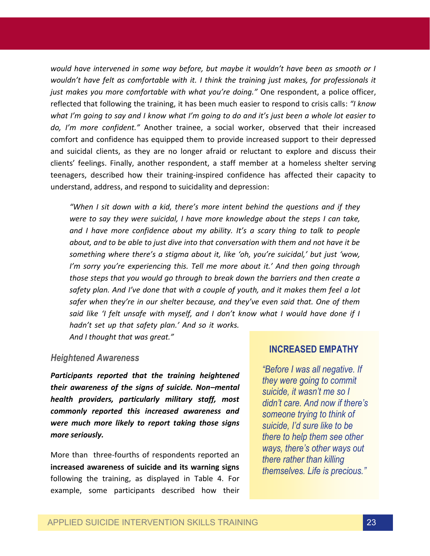*would have intervened in some way before, but maybe it wouldn't have been as smooth or I wouldn't have felt as comfortable with it. I think the training just makes, for professionals it just makes you more comfortable with what you're doing."* One respondent, a police officer, reflected that following the training, it has been much easier to respond to crisis calls: *"I know what I'm going to say and I know what I'm going to do and it's just been a whole lot easier to do, I'm more confident."* Another trainee, a social worker, observed that their increased comfort and confidence has equipped them to provide increased support to their depressed and suicidal clients, as they are no longer afraid or reluctant to explore and discuss their clients' feelings. Finally, another respondent, a staff member at a homeless shelter serving teenagers, described how their training-inspired confidence has affected their capacity to understand, address, and respond to suicidality and depression:

*"When I sit down with a kid, there's more intent behind the questions and if they were to say they were suicidal, I have more knowledge about the steps I can take, and I have more confidence about my ability. It's a scary thing to talk to people about, and to be able to just dive into that conversation with them and not have it be something where there's a stigma about it, like 'oh, you're suicidal,' but just 'wow, I'm sorry you're experiencing this. Tell me more about it.' And then going through those steps that you would go through to break down the barriers and then create a safety plan. And I've done that with a couple of youth, and it makes them feel a lot safer when they're in our shelter because, and they've even said that. One of them said like 'I felt unsafe with myself, and I don't know what I would have done if I hadn't set up that safety plan.' And so it works.* 

*And I thought that was great."* 

#### *Heightened Awareness*

*Participants reported that the training heightened their awareness of the signs of suicide. Non–mental health providers, particularly military staff, most commonly reported this increased awareness and were much more likely to report taking those signs more seriously.*

More than three-fourths of respondents reported an **increased awareness of suicide and its warning signs** following the training, as displayed in Table 4. For example, some participants described how their

### **INCREASED EMPATHY**

*"Before I was all negative. If they were going to commit suicide, it wasn't me so I didn't care. And now if there's someone trying to think of suicide, I'd sure like to be there to help them see other ways, there's other ways out there rather than killing themselves. Life is precious."*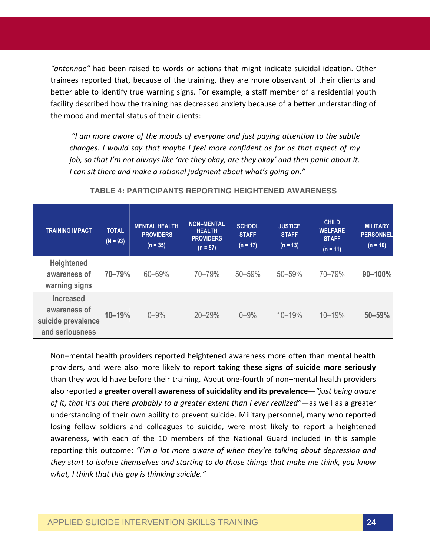*"antennae"* had been raised to words or actions that might indicate suicidal ideation. Other trainees reported that, because of the training, they are more observant of their clients and better able to identify true warning signs. For example, a staff member of a residential youth facility described how the training has decreased anxiety because of a better understanding of the mood and mental status of their clients:

*"I am more aware of the moods of everyone and just paying attention to the subtle changes. I would say that maybe I feel more confident as far as that aspect of my job, so that I'm not always like 'are they okay, are they okay' and then panic about it. I can sit there and make a rational judgment about what's going on."*

| <b>TRAINING IMPACT</b>                                                    | <b>TOTAL</b><br>$(N = 93)$ | <b>MENTAL HEALTH</b><br><b>PROVIDERS</b><br>$(n = 35)$ | <b>NON-MENTAL</b><br><b>HEALTH</b><br><b>PROVIDERS</b><br>$(n = 57)$ | <b>SCHOOL</b><br><b>STAFF</b><br>$(n = 17)$ | <b>JUSTICE</b><br><b>STAFF</b><br>$(n = 13)$ | <b>CHILD</b><br><b>WELFARE</b><br><b>STAFF</b><br>$(n = 11)$ | <b>MILITARY</b><br><b>PERSONNEL</b><br>$(n = 10)$ |
|---------------------------------------------------------------------------|----------------------------|--------------------------------------------------------|----------------------------------------------------------------------|---------------------------------------------|----------------------------------------------|--------------------------------------------------------------|---------------------------------------------------|
| <b>Heightened</b><br>awareness of<br>warning signs                        | 70-79%                     | 60-69%                                                 | 70-79%                                                               | 50-59%                                      | 50-59%                                       | 70-79%                                                       | 90-100%                                           |
| <b>Increased</b><br>awareness of<br>suicide prevalence<br>and seriousness | $10 - 19%$                 | $0 - 9%$                                               | 20-29%                                                               | $0 - 9%$                                    | $10 - 19%$                                   | $10 - 19%$                                                   | 50-59%                                            |

#### **TABLE 4: PARTICIPANTS REPORTING HEIGHTENED AWARENESS**

Non–mental health providers reported heightened awareness more often than mental health providers, and were also more likely to report **taking these signs of suicide more seriously** than they would have before their training. About one-fourth of non–mental health providers also reported a **greater overall awareness of suicidality and its prevalence—***"just being aware of it, that it's out there probably to a greater extent than I ever realized"—*as well as a greater understanding of their own ability to prevent suicide. Military personnel, many who reported losing fellow soldiers and colleagues to suicide, were most likely to report a heightened awareness, with each of the 10 members of the National Guard included in this sample reporting this outcome: *"I'm a lot more aware of when they're talking about depression and they start to isolate themselves and starting to do those things that make me think, you know what, I think that this guy is thinking suicide."*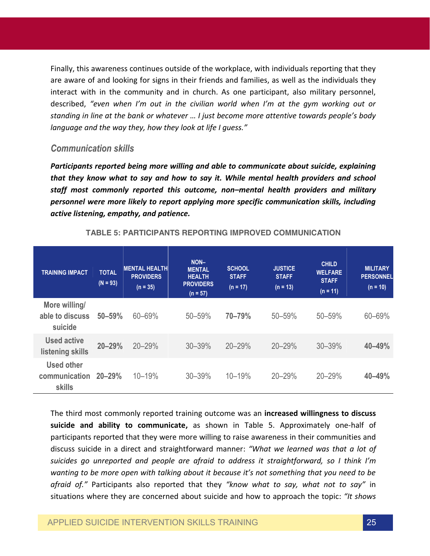Finally, this awareness continues outside of the workplace, with individuals reporting that they are aware of and looking for signs in their friends and families, as well as the individuals they interact with in the community and in church. As one participant, also military personnel, described, *"even when I'm out in the civilian world when I'm at the gym working out or standing in line at the bank or whatever … I just become more attentive towards people's body language and the way they, how they look at life I guess."*

#### *Communication skills*

*Participants reported being more willing and able to communicate about suicide, explaining that they know what to say and how to say it. While mental health providers and school staff most commonly reported this outcome, non–mental health providers and military personnel were more likely to report applying more specific communication skills, including active listening, empathy, and patience.*

| <b>TRAINING IMPACT</b>                       | <b>TOTAL</b><br>$(N = 93)$ | <b>MENTAL HEALTH</b><br><b>PROVIDERS</b><br>$(n = 35)$ | NON-<br><b>MENTAL</b><br><b>HEALTH</b><br><b>PROVIDERS</b> | <b>SCHOOL</b><br><b>STAFF</b><br>$(n = 17)$ | <b>JUSTICE</b><br><b>STAFF</b><br>$(n = 13)$ | <b>CHILD</b><br><b>WELFARE</b><br><b>STAFF</b> | <b>MILITARY</b><br><b>PERSONNEL</b><br>$(n = 10)$ |
|----------------------------------------------|----------------------------|--------------------------------------------------------|------------------------------------------------------------|---------------------------------------------|----------------------------------------------|------------------------------------------------|---------------------------------------------------|
|                                              |                            |                                                        | $(n = 57)$                                                 |                                             |                                              | $(n = 11)$                                     |                                                   |
| More willing/<br>able to discuss<br>suicide  | 50-59%                     | 60-69%                                                 | 50-59%                                                     | 70-79%                                      | 50-59%                                       | 50-59%                                         | 60-69%                                            |
| <b>Used active</b><br>listening skills       | $20 - 29%$                 | 20-29%                                                 | 30-39%                                                     | 20-29%                                      | 20-29%                                       | $30 - 39%$                                     | 40-49%                                            |
| <b>Used other</b><br>communication<br>skills | $20 - 29%$                 | 10-19%                                                 | 30-39%                                                     | 10-19%                                      | 20-29%                                       | 20-29%                                         | 40-49%                                            |

#### **TABLE 5: PARTICIPANTS REPORTING IMPROVED COMMUNICATION**

The third most commonly reported training outcome was an **increased willingness to discuss suicide and ability to communicate,** as shown in Table 5. Approximately one-half of participants reported that they were more willing to raise awareness in their communities and discuss suicide in a direct and straightforward manner: *"What we learned was that a lot of suicides go unreported and people are afraid to address it straightforward, so I think I'm wanting to be more open with talking about it because it's not something that you need to be afraid of."* Participants also reported that they *"know what to say, what not to say"* in situations where they are concerned about suicide and how to approach the topic: *"It shows*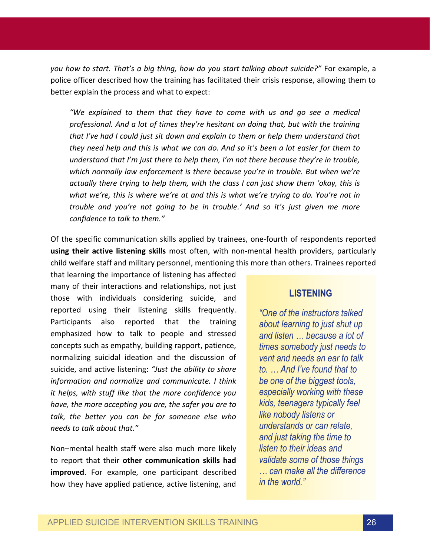*you how to start. That's a big thing, how do you start talking about suicide?"* For example, a police officer described how the training has facilitated their crisis response, allowing them to better explain the process and what to expect:

*"We explained to them that they have to come with us and go see a medical professional. And a lot of times they're hesitant on doing that, but with the training that I've had I could just sit down and explain to them or help them understand that they need help and this is what we can do. And so it's been a lot easier for them to understand that I'm just there to help them, I'm not there because they're in trouble, which normally law enforcement is there because you're in trouble. But when we're actually there trying to help them, with the class I can just show them 'okay, this is what we're, this is where we're at and this is what we're trying to do. You're not in trouble and you're not going to be in trouble.' And so it's just given me more confidence to talk to them."*

Of the specific communication skills applied by trainees, one-fourth of respondents reported **using their active listening skills** most often, with non-mental health providers, particularly child welfare staff and military personnel, mentioning this more than others. Trainees reported

that learning the importance of listening has affected many of their interactions and relationships, not just those with individuals considering suicide, and reported using their listening skills frequently. Participants also reported that the training emphasized how to talk to people and stressed concepts such as empathy, building rapport, patience, normalizing suicidal ideation and the discussion of suicide, and active listening: *"Just the ability to share information and normalize and communicate. I think it helps, with stuff like that the more confidence you have, the more accepting you are, the safer you are to talk, the better you can be for someone else who needs to talk about that."*

Non–mental health staff were also much more likely to report that their **other communication skills had improved**. For example, one participant described how they have applied patience, active listening, and

#### **LISTENING**

*"One of the instructors talked about learning to just shut up and listen … because a lot of times somebody just needs to vent and needs an ear to talk to. … And I've found that to be one of the biggest tools, especially working with these kids, teenagers typically feel like nobody listens or understands or can relate, and just taking the time to listen to their ideas and validate some of those things … can make all the difference in the world."*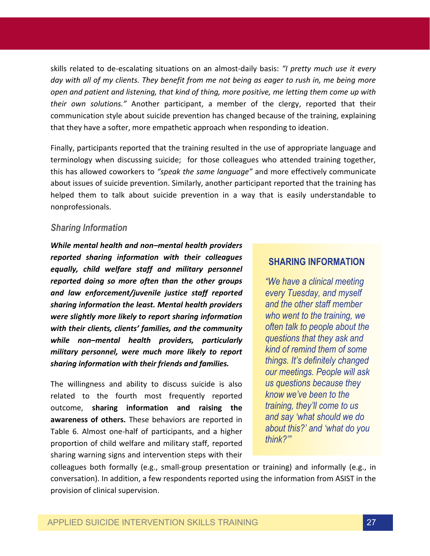skills related to de-escalating situations on an almost-daily basis: *"I pretty much use it every day with all of my clients. They benefit from me not being as eager to rush in, me being more open and patient and listening, that kind of thing, more positive, me letting them come up with their own solutions."* Another participant, a member of the clergy, reported that their communication style about suicide prevention has changed because of the training, explaining that they have a softer, more empathetic approach when responding to ideation.

Finally, participants reported that the training resulted in the use of appropriate language and terminology when discussing suicide; for those colleagues who attended training together, this has allowed coworkers to *"speak the same language"* and more effectively communicate about issues of suicide prevention. Similarly, another participant reported that the training has helped them to talk about suicide prevention in a way that is easily understandable to nonprofessionals.

### *Sharing Information*

*While mental health and non–mental health providers reported sharing information with their colleagues equally, child welfare staff and military personnel reported doing so more often than the other groups and law enforcement/juvenile justice staff reported sharing information the least. Mental health providers were slightly more likely to report sharing information with their clients, clients' families, and the community while non–mental health providers, particularly military personnel, were much more likely to report sharing information with their friends and families.* 

The willingness and ability to discuss suicide is also related to the fourth most frequently reported outcome, **sharing information and raising the awareness of others.** These behaviors are reported in Table 6. Almost one-half of participants, and a higher proportion of child welfare and military staff, reported sharing warning signs and intervention steps with their

### **SHARING INFORMATION**

*"We have a clinical meeting every Tuesday, and myself and the other staff member who went to the training, we often talk to people about the questions that they ask and kind of remind them of some things. It's definitely changed our meetings. People will ask us questions because they know we've been to the training, they'll come to us and say 'what should we do about this?' and 'what do you think?'"*

colleagues both formally (e.g., small-group presentation or training) and informally (e.g., in conversation). In addition, a few respondents reported using the information from ASIST in the provision of clinical supervision.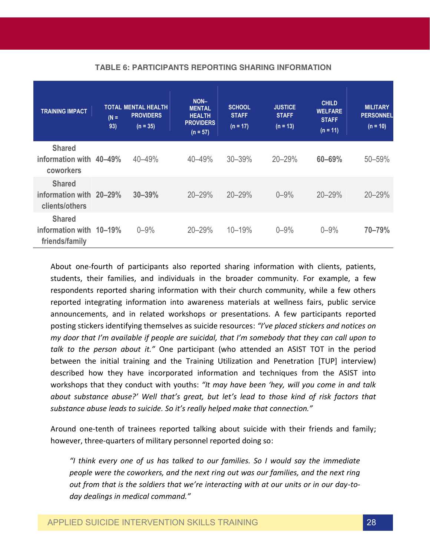| <b>TRAINING IMPACT</b>                                     | $(N =$<br>93) | <b>TOTAL MENTAL HEALTH</b><br><b>PROVIDERS</b><br>$(n = 35)$ | NON-<br><b>MENTAL</b><br><b>HEALTH</b><br><b>PROVIDERS</b><br>$(n = 57)$ | <b>SCHOOL</b><br><b>STAFF</b><br>$(n = 17)$ | <b>JUSTICE</b><br><b>STAFF</b><br>$(n = 13)$ | <b>CHILD</b><br><b>WELFARE</b><br><b>STAFF</b><br>$(n = 11)$ | <b>MILITARY</b><br><b>PERSONNEL</b><br>$(n = 10)$ |
|------------------------------------------------------------|---------------|--------------------------------------------------------------|--------------------------------------------------------------------------|---------------------------------------------|----------------------------------------------|--------------------------------------------------------------|---------------------------------------------------|
| <b>Shared</b><br>information with 40-49%<br>coworkers      |               | 40-49%                                                       | 40-49%                                                                   | 30-39%                                      | 20-29%                                       | 60-69%                                                       | 50-59%                                            |
| <b>Shared</b><br>information with 20-29%<br>clients/others |               | $30 - 39%$                                                   | $20 - 29%$                                                               | $20 - 29%$                                  | $0 - 9%$                                     | 20-29%                                                       | $20 - 29%$                                        |
| <b>Shared</b><br>information with 10-19%<br>friends/family |               | $0 - 9%$                                                     | 20-29%                                                                   | $10 - 19%$                                  | $0 - 9%$                                     | $0 - 9%$                                                     | 70-79%                                            |

#### **TABLE 6: PARTICIPANTS REPORTING SHARING INFORMATION**

About one-fourth of participants also reported sharing information with clients, patients, students, their families, and individuals in the broader community. For example, a few respondents reported sharing information with their church community, while a few others reported integrating information into awareness materials at wellness fairs, public service announcements, and in related workshops or presentations. A few participants reported posting stickers identifying themselves as suicide resources: *"I've placed stickers and notices on my door that I'm available if people are suicidal, that I'm somebody that they can call upon to talk to the person about it."* One participant (who attended an ASIST TOT in the period between the initial training and the Training Utilization and Penetration [TUP] interview) described how they have incorporated information and techniques from the ASIST into workshops that they conduct with youths: *"It may have been 'hey, will you come in and talk about substance abuse?' Well that's great, but let's lead to those kind of risk factors that substance abuse leads to suicide. So it's really helped make that connection."*

Around one-tenth of trainees reported talking about suicide with their friends and family; however, three-quarters of military personnel reported doing so:

*"I think every one of us has talked to our families. So I would say the immediate people were the coworkers, and the next ring out was our families, and the next ring out from that is the soldiers that we're interacting with at our units or in our day-today dealings in medical command."*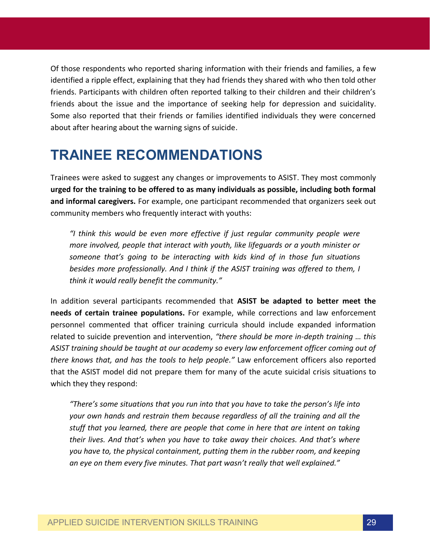Of those respondents who reported sharing information with their friends and families, a few identified a ripple effect, explaining that they had friends they shared with who then told other friends. Participants with children often reported talking to their children and their children's friends about the issue and the importance of seeking help for depression and suicidality. Some also reported that their friends or families identified individuals they were concerned about after hearing about the warning signs of suicide.

## **TRAINEE RECOMMENDATIONS**

Trainees were asked to suggest any changes or improvements to ASIST. They most commonly **urged for the training to be offered to as many individuals as possible, including both formal and informal caregivers.** For example, one participant recommended that organizers seek out community members who frequently interact with youths:

*"I think this would be even more effective if just regular community people were more involved, people that interact with youth, like lifeguards or a youth minister or someone that's going to be interacting with kids kind of in those fun situations besides more professionally. And I think if the ASIST training was offered to them, I think it would really benefit the community."* 

In addition several participants recommended that **ASIST be adapted to better meet the needs of certain trainee populations.** For example, while corrections and law enforcement personnel commented that officer training curricula should include expanded information related to suicide prevention and intervention, *"there should be more in-depth training … this ASIST training should be taught at our academy so every law enforcement officer coming out of there knows that, and has the tools to help people."* Law enforcement officers also reported that the ASIST model did not prepare them for many of the acute suicidal crisis situations to which they they respond:

*"There's some situations that you run into that you have to take the person's life into your own hands and restrain them because regardless of all the training and all the stuff that you learned, there are people that come in here that are intent on taking their lives. And that's when you have to take away their choices. And that's where you have to, the physical containment, putting them in the rubber room, and keeping an eye on them every five minutes. That part wasn't really that well explained."*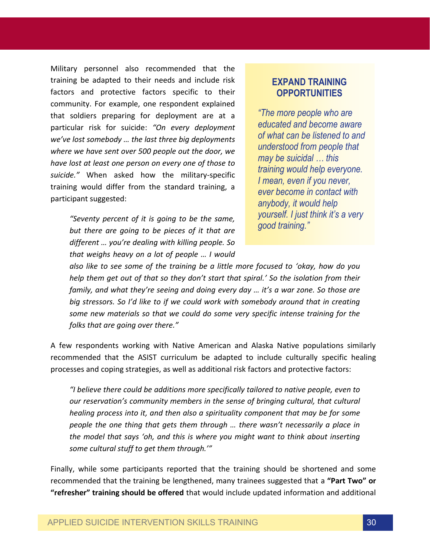Military personnel also recommended that the training be adapted to their needs and include risk factors and protective factors specific to their community. For example, one respondent explained that soldiers preparing for deployment are at a particular risk for suicide: *"On every deployment we've lost somebody … the last three big deployments where we have sent over 500 people out the door, we have lost at least one person on every one of those to suicide."* When asked how the military-specific training would differ from the standard training, a participant suggested:

> *"Seventy percent of it is going to be the same, but there are going to be pieces of it that are different … you're dealing with killing people. So that weighs heavy on a lot of people … I would*

### **EXPAND TRAINING OPPORTUNITIES**

*"The more people who are educated and become aware of what can be listened to and understood from people that may be suicidal … this training would help everyone. I mean, even if you never, ever become in contact with anybody, it would help yourself. I just think it's a very good training."*

*also like to see some of the training be a little more focused to 'okay, how do you help them get out of that so they don't start that spiral.' So the isolation from their family, and what they're seeing and doing every day … it's a war zone. So those are big stressors. So I'd like to if we could work with somebody around that in creating some new materials so that we could do some very specific intense training for the folks that are going over there."* 

A few respondents working with Native American and Alaska Native populations similarly recommended that the ASIST curriculum be adapted to include culturally specific healing processes and coping strategies, as well as additional risk factors and protective factors:

*"I believe there could be additions more specifically tailored to native people, even to our reservation's community members in the sense of bringing cultural, that cultural healing process into it, and then also a spirituality component that may be for some people the one thing that gets them through … there wasn't necessarily a place in the model that says 'oh, and this is where you might want to think about inserting some cultural stuff to get them through.'"* 

Finally, while some participants reported that the training should be shortened and some recommended that the training be lengthened, many trainees suggested that a **"Part Two" or "refresher" training should be offered** that would include updated information and additional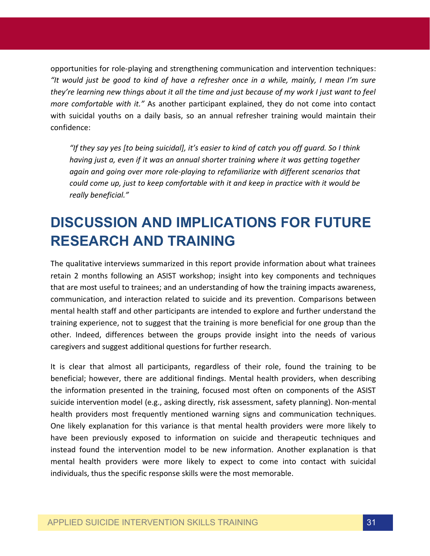opportunities for role-playing and strengthening communication and intervention techniques: *"It would just be good to kind of have a refresher once in a while, mainly, I mean I'm sure they're learning new things about it all the time and just because of my work I just want to feel more comfortable with it."* As another participant explained, they do not come into contact with suicidal youths on a daily basis, so an annual refresher training would maintain their confidence:

*"If they say yes [to being suicidal], it's easier to kind of catch you off guard. So I think having just a, even if it was an annual shorter training where it was getting together again and going over more role-playing to refamiliarize with different scenarios that could come up, just to keep comfortable with it and keep in practice with it would be really beneficial."* 

# **DISCUSSION AND IMPLICATIONS FOR FUTURE RESEARCH AND TRAINING**

The qualitative interviews summarized in this report provide information about what trainees retain 2 months following an ASIST workshop; insight into key components and techniques that are most useful to trainees; and an understanding of how the training impacts awareness, communication, and interaction related to suicide and its prevention. Comparisons between mental health staff and other participants are intended to explore and further understand the training experience, not to suggest that the training is more beneficial for one group than the other. Indeed, differences between the groups provide insight into the needs of various caregivers and suggest additional questions for further research.

It is clear that almost all participants, regardless of their role, found the training to be beneficial; however, there are additional findings. Mental health providers, when describing the information presented in the training, focused most often on components of the ASIST suicide intervention model (e.g., asking directly, risk assessment, safety planning). Non-mental health providers most frequently mentioned warning signs and communication techniques. One likely explanation for this variance is that mental health providers were more likely to have been previously exposed to information on suicide and therapeutic techniques and instead found the intervention model to be new information. Another explanation is that mental health providers were more likely to expect to come into contact with suicidal individuals, thus the specific response skills were the most memorable.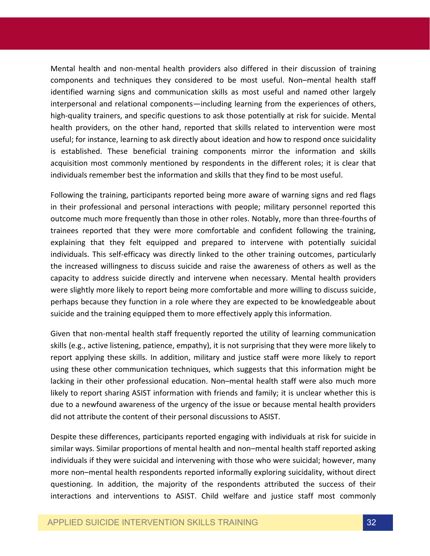Mental health and non-mental health providers also differed in their discussion of training components and techniques they considered to be most useful. Non–mental health staff identified warning signs and communication skills as most useful and named other largely interpersonal and relational components—including learning from the experiences of others, high-quality trainers, and specific questions to ask those potentially at risk for suicide. Mental health providers, on the other hand, reported that skills related to intervention were most useful; for instance, learning to ask directly about ideation and how to respond once suicidality is established. These beneficial training components mirror the information and skills acquisition most commonly mentioned by respondents in the different roles; it is clear that individuals remember best the information and skills that they find to be most useful.

Following the training, participants reported being more aware of warning signs and red flags in their professional and personal interactions with people; military personnel reported this outcome much more frequently than those in other roles. Notably, more than three-fourths of trainees reported that they were more comfortable and confident following the training, explaining that they felt equipped and prepared to intervene with potentially suicidal individuals. This self-efficacy was directly linked to the other training outcomes, particularly the increased willingness to discuss suicide and raise the awareness of others as well as the capacity to address suicide directly and intervene when necessary. Mental health providers were slightly more likely to report being more comfortable and more willing to discuss suicide, perhaps because they function in a role where they are expected to be knowledgeable about suicide and the training equipped them to more effectively apply this information.

Given that non-mental health staff frequently reported the utility of learning communication skills (e.g., active listening, patience, empathy), it is not surprising that they were more likely to report applying these skills. In addition, military and justice staff were more likely to report using these other communication techniques, which suggests that this information might be lacking in their other professional education. Non–mental health staff were also much more likely to report sharing ASIST information with friends and family; it is unclear whether this is due to a newfound awareness of the urgency of the issue or because mental health providers did not attribute the content of their personal discussions to ASIST.

Despite these differences, participants reported engaging with individuals at risk for suicide in similar ways. Similar proportions of mental health and non–mental health staff reported asking individuals if they were suicidal and intervening with those who were suicidal; however, many more non–mental health respondents reported informally exploring suicidality, without direct questioning. In addition, the majority of the respondents attributed the success of their interactions and interventions to ASIST. Child welfare and justice staff most commonly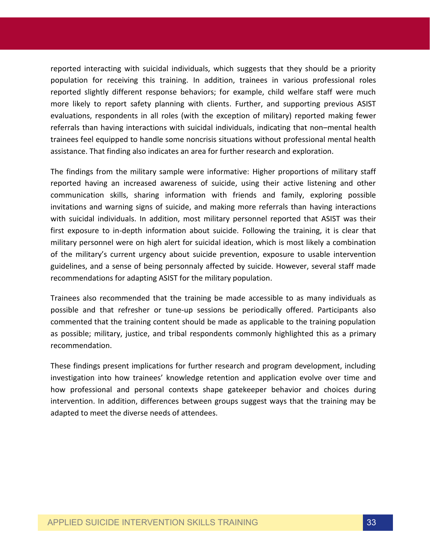reported interacting with suicidal individuals, which suggests that they should be a priority population for receiving this training. In addition, trainees in various professional roles reported slightly different response behaviors; for example, child welfare staff were much more likely to report safety planning with clients. Further, and supporting previous ASIST evaluations, respondents in all roles (with the exception of military) reported making fewer referrals than having interactions with suicidal individuals, indicating that non–mental health trainees feel equipped to handle some noncrisis situations without professional mental health assistance. That finding also indicates an area for further research and exploration.

The findings from the military sample were informative: Higher proportions of military staff reported having an increased awareness of suicide, using their active listening and other communication skills, sharing information with friends and family, exploring possible invitations and warning signs of suicide, and making more referrals than having interactions with suicidal individuals. In addition, most military personnel reported that ASIST was their first exposure to in-depth information about suicide. Following the training, it is clear that military personnel were on high alert for suicidal ideation, which is most likely a combination of the military's current urgency about suicide prevention, exposure to usable intervention guidelines, and a sense of being personnaly affected by suicide. However, several staff made recommendations for adapting ASIST for the military population.

Trainees also recommended that the training be made accessible to as many individuals as possible and that refresher or tune-up sessions be periodically offered. Participants also commented that the training content should be made as applicable to the training population as possible; military, justice, and tribal respondents commonly highlighted this as a primary recommendation.

These findings present implications for further research and program development, including investigation into how trainees' knowledge retention and application evolve over time and how professional and personal contexts shape gatekeeper behavior and choices during intervention. In addition, differences between groups suggest ways that the training may be adapted to meet the diverse needs of attendees.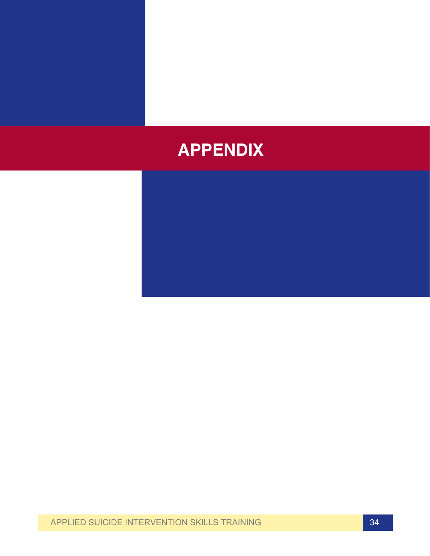# **APPENDIX**

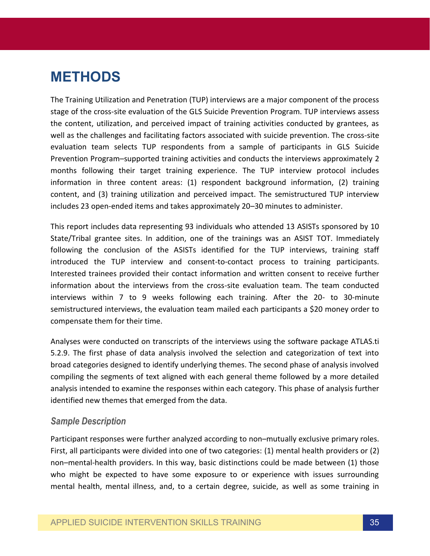## **METHODS**

The Training Utilization and Penetration (TUP) interviews are a major component of the process stage of the cross-site evaluation of the GLS Suicide Prevention Program. TUP interviews assess the content, utilization, and perceived impact of training activities conducted by grantees, as well as the challenges and facilitating factors associated with suicide prevention. The cross-site evaluation team selects TUP respondents from a sample of participants in GLS Suicide Prevention Program–supported training activities and conducts the interviews approximately 2 months following their target training experience. The TUP interview protocol includes information in three content areas: (1) respondent background information, (2) training content, and (3) training utilization and perceived impact. The semistructured TUP interview includes 23 open-ended items and takes approximately 20–30 minutes to administer.

This report includes data representing 93 individuals who attended 13 ASISTs sponsored by 10 State/Tribal grantee sites. In addition, one of the trainings was an ASIST TOT. Immediately following the conclusion of the ASISTs identified for the TUP interviews, training staff introduced the TUP interview and consent-to-contact process to training participants. Interested trainees provided their contact information and written consent to receive further information about the interviews from the cross-site evaluation team. The team conducted interviews within 7 to 9 weeks following each training. After the 20- to 30-minute semistructured interviews, the evaluation team mailed each participants a \$20 money order to compensate them for their time.

Analyses were conducted on transcripts of the interviews using the software package ATLAS.ti 5.2.9. The first phase of data analysis involved the selection and categorization of text into broad categories designed to identify underlying themes. The second phase of analysis involved compiling the segments of text aligned with each general theme followed by a more detailed analysis intended to examine the responses within each category. This phase of analysis further identified new themes that emerged from the data.

#### *Sample Description*

Participant responses were further analyzed according to non–mutually exclusive primary roles. First, all participants were divided into one of two categories: (1) mental health providers or (2) non–mental-health providers. In this way, basic distinctions could be made between (1) those who might be expected to have some exposure to or experience with issues surrounding mental health, mental illness, and, to a certain degree, suicide, as well as some training in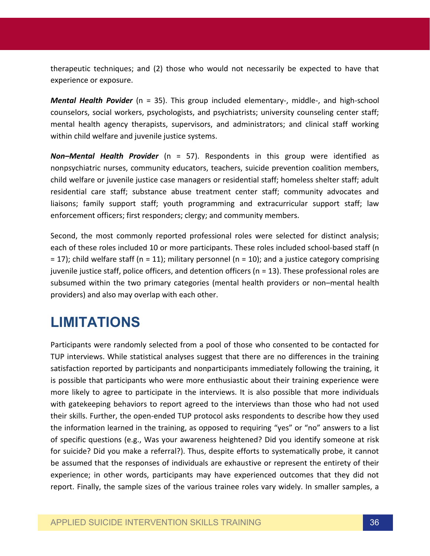therapeutic techniques; and (2) those who would not necessarily be expected to have that experience or exposure.

*Mental Health Povider* (n = 35). This group included elementary-, middle-, and high-school counselors, social workers, psychologists, and psychiatrists; university counseling center staff; mental health agency therapists, supervisors, and administrators; and clinical staff working within child welfare and juvenile justice systems.

*Non–Mental Health Provider* (n = 57). Respondents in this group were identified as nonpsychiatric nurses, community educators, teachers, suicide prevention coalition members, child welfare or juvenile justice case managers or residential staff; homeless shelter staff; adult residential care staff; substance abuse treatment center staff; community advocates and liaisons; family support staff; youth programming and extracurricular support staff; law enforcement officers; first responders; clergy; and community members.

Second, the most commonly reported professional roles were selected for distinct analysis; each of these roles included 10 or more participants. These roles included school-based staff (n  $= 17$ ); child welfare staff (n = 11); military personnel (n = 10); and a justice category comprising juvenile justice staff, police officers, and detention officers (n = 13). These professional roles are subsumed within the two primary categories (mental health providers or non–mental health providers) and also may overlap with each other.

# **LIMITATIONS**

Participants were randomly selected from a pool of those who consented to be contacted for TUP interviews. While statistical analyses suggest that there are no differences in the training satisfaction reported by participants and nonparticipants immediately following the training, it is possible that participants who were more enthusiastic about their training experience were more likely to agree to participate in the interviews. It is also possible that more individuals with gatekeeping behaviors to report agreed to the interviews than those who had not used their skills. Further, the open-ended TUP protocol asks respondents to describe how they used the information learned in the training, as opposed to requiring "yes" or "no" answers to a list of specific questions (e.g., Was your awareness heightened? Did you identify someone at risk for suicide? Did you make a referral?). Thus, despite efforts to systematically probe, it cannot be assumed that the responses of individuals are exhaustive or represent the entirety of their experience; in other words, participants may have experienced outcomes that they did not report. Finally, the sample sizes of the various trainee roles vary widely. In smaller samples, a